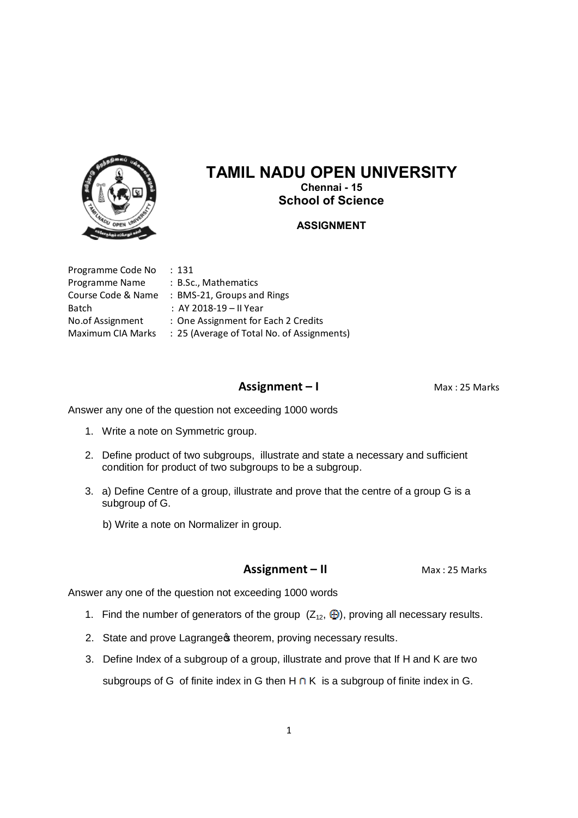

# **TAMIL NADU OPEN UNIVERSITY**

**Chennai - 15 School of Science**

#### **ASSIGNMENT**

| Programme Code No  | : 131                                      |
|--------------------|--------------------------------------------|
| Programme Name     | : B.Sc., Mathematics                       |
| Course Code & Name | : BMS-21, Groups and Rings                 |
| Batch              | : AY 2018-19 - Il Year                     |
| No.of Assignment   | : One Assignment for Each 2 Credits        |
| Maximum CIA Marks  | : 25 (Average of Total No. of Assignments) |
|                    |                                            |

### **Assignment – I** Max : 25 Marks

Answer any one of the question not exceeding 1000 words

- 1. Write a note on Symmetric group.
- 2. Define product of two subgroups, illustrate and state a necessary and sufficient condition for product of two subgroups to be a subgroup.
- 3. a) Define Centre of a group, illustrate and prove that the centre of a group G is a subgroup of G.
	- b) Write a note on Normalizer in group.

#### **Assignment – II** Max: 25 Marks

- 1. Find the number of generators of the group  $(Z_{12}, \bigoplus)$ , proving all necessary results.
- 2. State and prove Lagrange theorem, proving necessary results.
- 3. Define Index of a subgroup of a group, illustrate and prove that If H and K are two subgroups of G of finite index in G then  $H \cap K$  is a subgroup of finite index in G.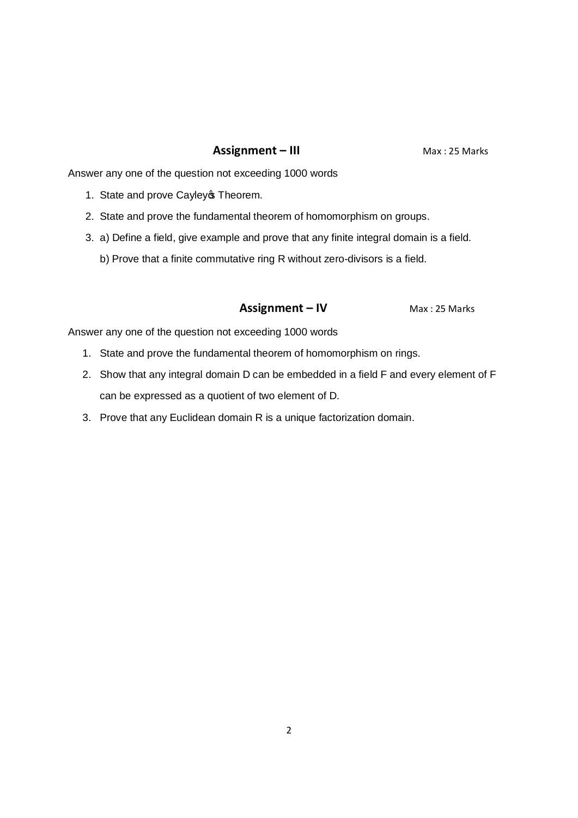### **Assignment – III** Max: 25 Marks

Answer any one of the question not exceeding 1000 words

- 1. State and prove Cayley **Theorem.**
- 2. State and prove the fundamental theorem of homomorphism on groups.
- 3. a) Define a field, give example and prove that any finite integral domain is a field.
	- b) Prove that a finite commutative ring R without zero-divisors is a field.

### **Assignment – IV** Max: 25 Marks

- 1. State and prove the fundamental theorem of homomorphism on rings.
- 2. Show that any integral domain D can be embedded in a field F and every element of F can be expressed as a quotient of two element of D.
- 3. Prove that any Euclidean domain R is a unique factorization domain.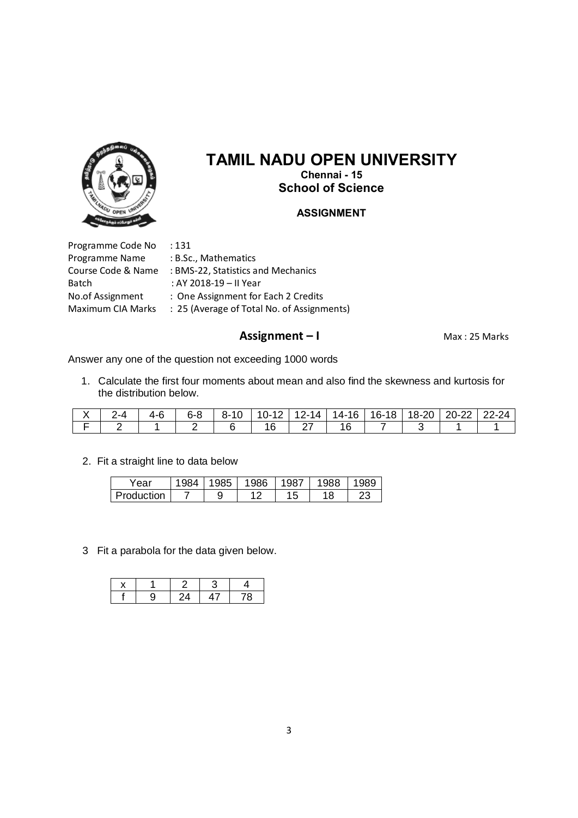

# **TAMIL NADU OPEN UNIVERSITY Chennai - 15**

**School of Science**

#### **ASSIGNMENT**

Programme Code No : 131 Programme Name : B.Sc., Mathematics Batch : AY 2018-19 – II Year

- Course Code & Name : BMS-22, Statistics and Mechanics No.of Assignment : One Assignment for Each 2 Credits
- Maximum CIA Marks : 25 (Average of Total No. of Assignments)

## **Assignment – I** Max : 25 Marks

Answer any one of the question not exceeding 1000 words

1. Calculate the first four moments about mean and also find the skewness and kurtosis for the distribution below.

|  | 6-R | O- | 'U− | 17-14 | $14-16$ | 18<br>. 16- i | 8- | $\sim$<br>--<br><u>__</u> | $22-24$ |
|--|-----|----|-----|-------|---------|---------------|----|---------------------------|---------|
|  |     |    |     |       |         |               |    |                           |         |

2. Fit a straight line to data below

| . ear      | 984 | $\sim$<br>985 | 1986 | 987        | 1988 | 020      |
|------------|-----|---------------|------|------------|------|----------|
| Production |     | 9             | 10   | 1 F<br>ں ا | 18   | ົດ<br>ںے |

3 Fit a parabola for the data given below.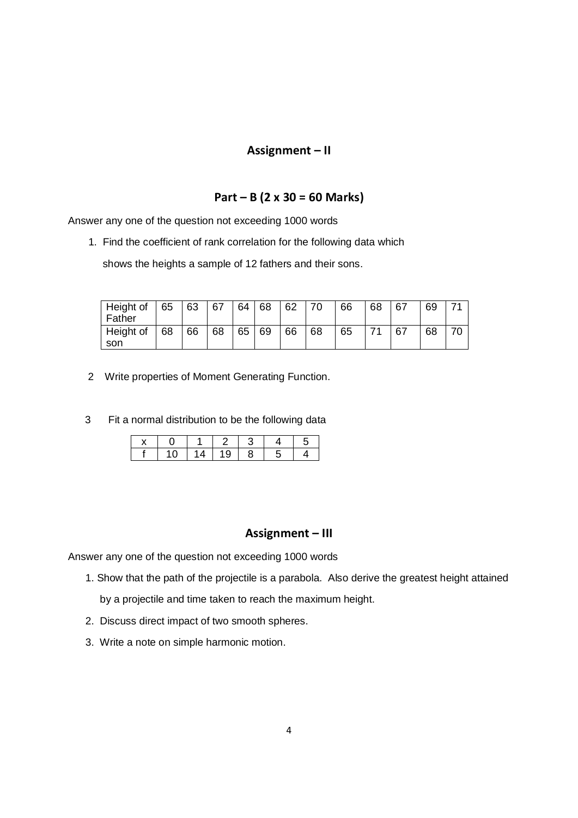### **Assignment – II**

### **Part – B (2 x 30 = 60 Marks)**

Answer any one of the question not exceeding 1000 words

1. Find the coefficient of rank correlation for the following data which

shows the heights a sample of 12 fathers and their sons.

| Height of<br>Father | 65 | 63 | 67 | 64 | 68 | 62 | 70 | 66 | 68 | 67 | 69 |  |
|---------------------|----|----|----|----|----|----|----|----|----|----|----|--|
| Height of<br>son    | 68 | 66 | 68 | 65 | 69 | 66 | 68 | 65 |    | 67 | 68 |  |

- 2 Write properties of Moment Generating Function.
- 3 Fit a normal distribution to be the following data

|  |   |    |  | . . |
|--|---|----|--|-----|
|  | 4 | 19 |  |     |

#### **Assignment – III**

- 1. Show that the path of the projectile is a parabola. Also derive the greatest height attained by a projectile and time taken to reach the maximum height.
- 2. Discuss direct impact of two smooth spheres.
- 3. Write a note on simple harmonic motion.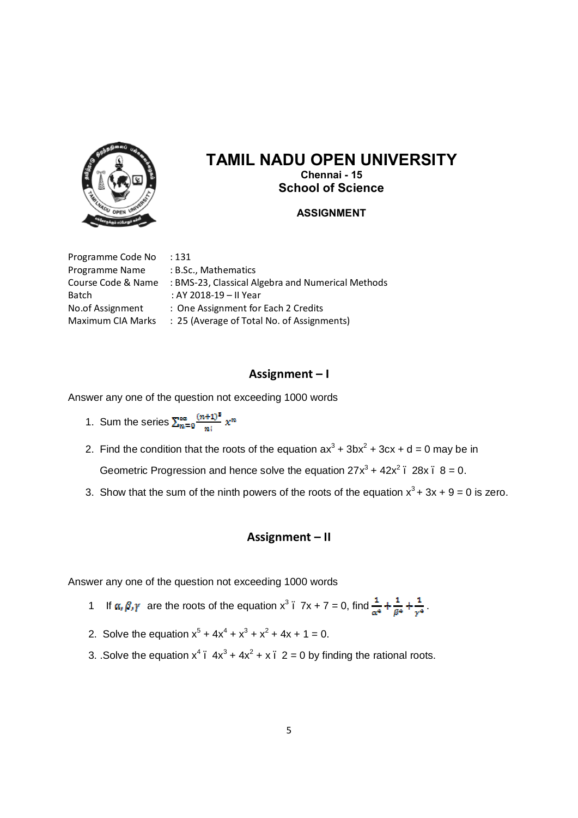

# **TAMIL NADU OPEN UNIVERSITY Chennai - 15**

**School of Science**

## **ASSIGNMENT**

Programme Code No : 131 Programme Name : B.Sc., Mathematics Batch : AY 2018-19 – II Year

Course Code & Name : BMS-23, Classical Algebra and Numerical Methods No.of Assignment : One Assignment for Each 2 Credits Maximum CIA Marks : 25 (Average of Total No. of Assignments)

# **Assignment – I**

Answer any one of the question not exceeding 1000 words

- 1. Sum the series  $\sum_{n=0}^{\infty} \frac{(n+1)^n}{n!} x^n$
- 2. Find the condition that the roots of the equation  $ax^3 + 3bx^2 + 3cx + d = 0$  may be in Geometric Progression and hence solve the equation  $27x^3 + 42x^2$ .  $28x$ .  $8 = 0$ .
- 3. Show that the sum of the ninth powers of the roots of the equation  $x^3 + 3x + 9 = 0$  is zero.

# **Assignment – II**

- 1 If  $\alpha, \beta, \gamma$  are the roots of the equation  $x^3$ .  $7x + 7 = 0$ , find  $\frac{1}{\alpha^4} + \frac{1}{\beta^4} + \frac{1}{\gamma^4}$ .
- 2. Solve the equation  $x^5 + 4x^4 + x^3 + x^2 + 4x + 1 = 0$ .
- 3. .Solve the equation  $x^4$   $4x^3 + 4x^2 + x$  2 = 0 by finding the rational roots.